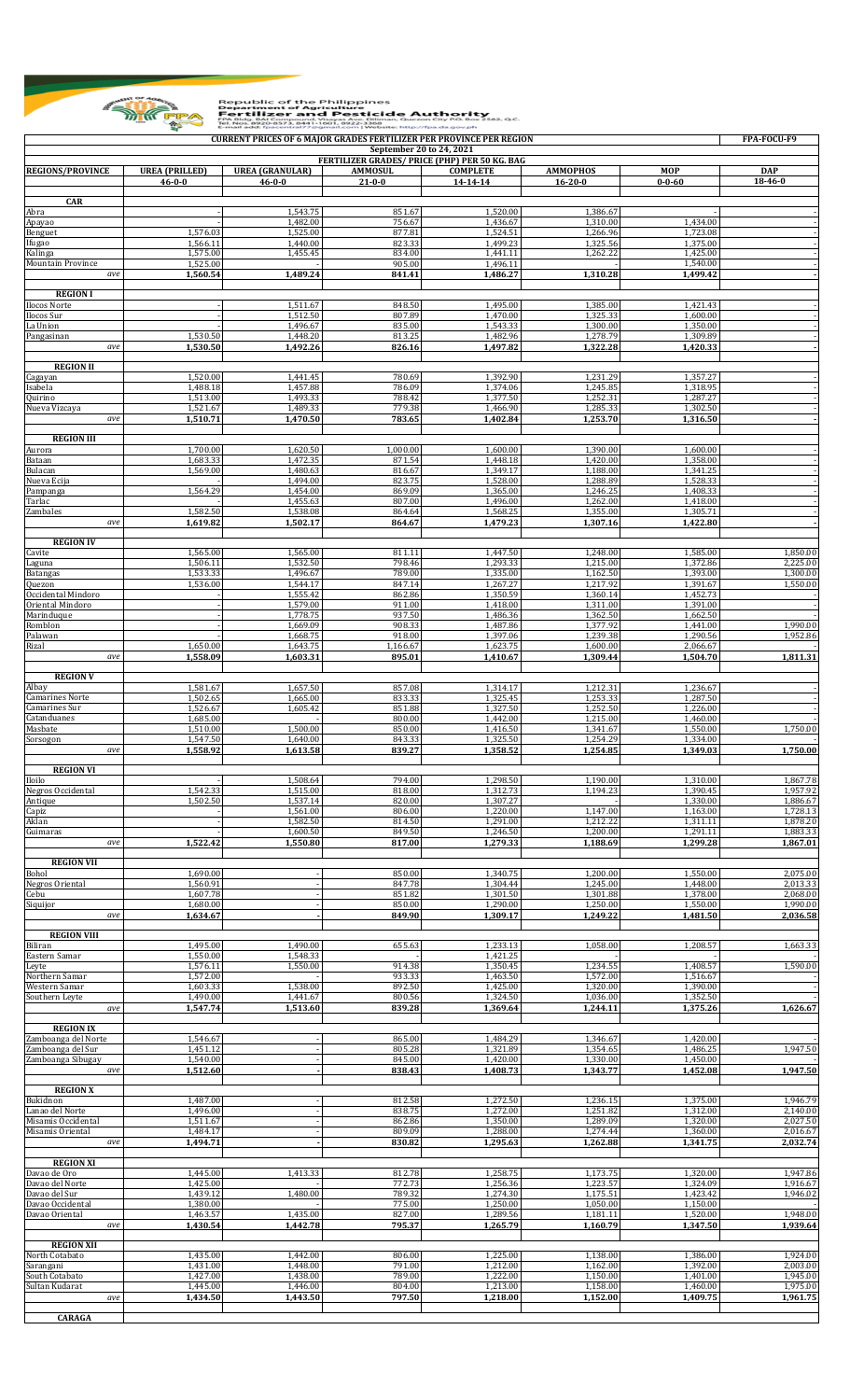

## Republic of the Philippines<br> **Example 1974-1986**<br>
Pertilizer and Pesticide Authority<br>
The Filippines<br>
Fortilizer and Pesticide Authority<br>
Email add: fascentral??@gmail.com | Website: Mtsp?//2019/2019/1000000000000000000000

| <b>REGIONS/PROVINCE</b>                  | <b>UREA (PRILLED)</b> | <b>UREA (GRANULAR)</b> | September 20 to 24, 2021<br>FERTILIZER GRADES/ PRICE (PHP) PER 50 KG. BAG<br><b>AMMOSUL</b> | <b>COMPLETE</b>      |                                  | <b>MOP</b>           | <b>DAP</b>           |
|------------------------------------------|-----------------------|------------------------|---------------------------------------------------------------------------------------------|----------------------|----------------------------------|----------------------|----------------------|
|                                          | $46 - 0 - 0$          | $46 - 0 - 0$           | $21 - 0 - 0$                                                                                | 14-14-14             | <b>AMMOPHOS</b><br>$16 - 20 - 0$ | $0 - 0 - 60$         | $18 - 46 - 0$        |
| <b>CAR</b>                               |                       |                        |                                                                                             |                      |                                  |                      |                      |
| Abra                                     |                       | 1,543.75               | 851.67<br>756.67                                                                            | 1,520.00             | 1,386.67<br>1,310.00             | 1,434.00             |                      |
| Apayao<br>Benguet                        | 1,576.03              | 1,482.00<br>1,525.00   | 877.81                                                                                      | 1,436.67<br>1,524.51 | 1,266.96                         | 1,723.08             |                      |
| Ifugao<br>Kalinga                        | 1,566.11<br>1,575.00  | 1,440.00<br>1,455.45   | 823.33<br>834.00                                                                            | 1,499.23<br>1,441.11 | 1,325.56<br>1,262.22             | 1,375.00<br>1,425.00 |                      |
| Mountain Province                        | 1,525.00              |                        | 905.00                                                                                      | 1,496.11             |                                  | 1,540.00             |                      |
| ave                                      | 1,560.54              | 1,489.24               | 841.41                                                                                      | 1.486.27             | 1,310.28                         | 1,499.42             |                      |
| <b>REGION I</b>                          |                       |                        |                                                                                             |                      |                                  |                      |                      |
| <b>Ilocos Norte</b><br><b>Ilocos</b> Sur |                       | 1,511.67<br>1,512.50   | 848.50<br>807.89                                                                            | 1,495.00<br>1,470.00 | 1,385.00<br>1,325.33             | 1,421.43<br>1,600.00 |                      |
| La Union<br>Pangasinan                   | 1,530.50              | 1,496.67<br>1,448.20   | 835.00<br>813.25                                                                            | 1,543.33<br>1,482.96 | 1,300.00<br>1,278.79             | 1,350.00<br>1,309.89 |                      |
| ave                                      | 1,530.50              | 1,492.26               | 826.16                                                                                      | 1,497.82             | 1,322.28                         | 1,420.33             |                      |
| <b>REGION II</b>                         |                       |                        |                                                                                             |                      |                                  |                      |                      |
| Cagayan                                  | 1,520.00              | 1,441.45               | 780.69                                                                                      | 1,392.90             | 1,231.29                         | 1,357.27             |                      |
| Isabela<br>Quirino                       | 1,488.18<br>1,513.00  | 1,457.88<br>1,493.33   | 786.09<br>788.42                                                                            | 1,374.06<br>1,377.50 | 1,245.85<br>1,252.31             | 1,318.95<br>1,287.27 |                      |
| Nueva Vizcaya<br>ave                     | 1,521.67<br>1,510.71  | 1,489.33<br>1,470.50   | 779.38<br>783.65                                                                            | 1,466.90<br>1,402.84 | 1,285.33<br>1,253.70             | 1,302.50<br>1,316.50 |                      |
|                                          |                       |                        |                                                                                             |                      |                                  |                      |                      |
| <b>REGION III</b><br>Aurora              | 1,700.00              | 1,620.50               | 1,000.00                                                                                    | 1,600.00             | 1,390.00                         | 1,600.00             |                      |
| Bataan                                   | 1,683.33              | 1,472.35               | 871.54                                                                                      | 1,448.18             | 1.420.00                         | 1,358.00             |                      |
| Bulacan<br>Nueva Ecija                   | 1,569.00              | 1,480.63<br>1,494.00   | 816.67<br>823.75                                                                            | 1,349.17<br>1,528.00 | 1,188.00<br>1,288.89             | 1,341.25<br>1,528.33 |                      |
| Pampanga<br>Tarlac                       | 1,564.29              | 1,454.00<br>1,455.63   | 869.09<br>807.00                                                                            | 1,365.00<br>1,496.00 | 1,246.25<br>1,262.00             | 1.408.33<br>1,418.00 |                      |
| Zambales                                 | 1,582.50              | 1,538.08               | 864.64                                                                                      | 1,568.25             | 1,355.00                         | 1,305.71             |                      |
| ave                                      | 1.619.82              | 1,502.17               | 864.67                                                                                      | 1,479.23             | 1,307.16                         | 1,422.80             |                      |
| <b>REGION IV</b>                         |                       |                        |                                                                                             |                      |                                  |                      |                      |
| Cavite<br>Laguna                         | 1,565.00<br>1,506.11  | 1,565.00<br>1,532.50   | 811.11<br>798.46                                                                            | 1,447.50<br>1,293.33 | 1,248.00<br>1,215.00             | 1,585.00<br>1,372.86 | 1,850.00<br>2,225.00 |
| <b>Batangas</b><br>Quezon                | 1,533.33<br>1,536.00  | 1,496.67<br>1,544.17   | 789.00<br>847.14                                                                            | 1,335.00<br>1,267.27 | 1,162.50<br>1,217.92             | 1,393.00<br>1,391.67 | 1,300.00<br>1,550.00 |
| Occidental Mindoro                       |                       | 1,555.42               | 862.86                                                                                      | 1,350.59             | 1,360.14                         | 1,452.73             |                      |
| Oriental Mindoro<br>Marinduque           |                       | 1,579.00<br>1,778.75   | 911.00<br>937.50                                                                            | 1,418.00<br>1,486.36 | 1,311.00<br>1,362.50             | 1,391.00<br>1,662.50 |                      |
| Romblon                                  |                       | 1,669.09               | 908.33                                                                                      | 1,487.86             | 1,377.92                         | 1,441.00             | 1,990.00             |
| Palawan<br>Rizal                         | 1,650.00              | 1,668.75<br>1,643.75   | 918.00<br>1,166.67                                                                          | 1,397.06<br>1,623.75 | 1,239.38<br>1,600.00             | 1,290.56<br>2,066.67 | 1,952.86             |
| ave                                      | 1,558.09              | 1,603.31               | 895.01                                                                                      | 1,410.67             | 1,309.44                         | 1,504.70             | 1,811.31             |
| <b>REGION V</b>                          |                       |                        |                                                                                             |                      |                                  |                      |                      |
| Albay<br>Camarines Norte                 | 1,581.67<br>1,502.65  | 1,657.50<br>1,665.00   | 857.08<br>833.33                                                                            | 1,314.17<br>1,325.45 | 1.212.31<br>1,253.33             | 1,236.67<br>1,287.50 |                      |
| Camarines Sur                            | 1,526.67              | 1,605.42               | 851.88                                                                                      | 1,327.50             | 1.252.50                         | 1,226.00             |                      |
| atanduanes<br>Masbate                    | 1,685.00<br>1,510.00  | 1,500.00               | 800.00<br>850.00                                                                            | 1,442.00<br>1,416.50 | 1,215.00<br>1,341.67             | 1,460.00<br>1,550.00 | 1,750.00             |
| Sorsogon<br>ave                          | 1,547.50<br>1,558.92  | 1,640.00<br>1,613.58   | 843.33<br>839.27                                                                            | 1,325.50<br>1.358.52 | 1,254.29<br>1,254.85             | 1,334.00<br>1,349.03 | 1,750.00             |
|                                          |                       |                        |                                                                                             |                      |                                  |                      |                      |
| <b>REGION VI</b><br>Iloilo               |                       | 1,508.64               | 794.00                                                                                      | 1,298.50             | 1,190.00                         | 1,310.00             | 1,867.78             |
| Negros Occidental                        | 1,542.33              | 1,515.00               | 818.00                                                                                      | 1,312.73             | 1,194.23                         | 1,390.45             | 1,957.92             |
| Antique<br>Capiz                         | 1,502.50              | 1,537.14<br>1,561.00   | 820.00<br>806.00                                                                            | 1,307.27<br>1,220.00 | 1,147.00                         | 1,330.00<br>1,163.00 | 1,886.67<br>1,728.13 |
| Aklan<br>Guimaras                        |                       | 1,582.50<br>1,600.50   | 814.50<br>849.50                                                                            | 1,291.00<br>1,246.50 | 1,212.22<br>1,200.00             | 1,311.11<br>1,291.11 | 1,878.20<br>1,883.33 |
| ave                                      | 1.522.42              | 1,550.80               | 817.00                                                                                      | 1,279.33             | 1,188.69                         | 1,299.28             | 1,867.01             |
| <b>REGION VII</b>                        |                       |                        |                                                                                             |                      |                                  |                      |                      |
| Bohol                                    | 1,690.00              |                        | 850.00                                                                                      | 1,340.75             | 1,200.00                         | 1,550.00             | 2,075.00             |
| Negros Oriental<br>Cebu                  | 1,560.91<br>1,607.78  |                        | 847.78<br>851.82                                                                            | 1,304.44<br>1,301.50 | 1,245.00<br>1,301.88             | 1,448.00<br>1,378.00 | 2,013.33<br>2,068.00 |
| Siquijor<br>ave                          | 1,680.00<br>1,634.67  |                        | 850.00<br>849.90                                                                            | 1,290.00<br>1,309.17 | 1,250.00<br>1,249.22             | 1,550.00<br>1,481.50 | 1,990.00<br>2,036.58 |
|                                          |                       |                        |                                                                                             |                      |                                  |                      |                      |
| <b>REGION VIII</b><br>Biliran            | 1,495.00              | 1,490.00               | 655.63                                                                                      | 1,233.13             | 1,058.00                         | 1,208.57             | 1,663.33             |
| Eastern Samar                            | 1,550.00              | 1,548.33               | 914.38                                                                                      | 1,421.25             |                                  | 1,408.57             |                      |
| Leyte<br>Northern Samar                  | 1,576.11<br>1,572.00  | 1,550.00               | 933.33                                                                                      | 1,350.45<br>1,463.50 | 1,234.55<br>1,572.00             | 1,516.67             | 1,590.00             |
| Western Samar<br>Southern Leyte          | 1,603.33<br>1,490.00  | 1,538.00<br>1,441.67   | 892.50<br>800.56                                                                            | 1,425.00<br>1,324.50 | 1,320.00<br>1,036.00             | 1,390.00<br>1,352.50 |                      |
| ave                                      | 1,547.74              | 1,513.60               | 839.28                                                                                      | 1,369.64             | 1,244.11                         | 1,375.26             | 1,626.67             |
| <b>REGION IX</b>                         |                       |                        |                                                                                             |                      |                                  |                      |                      |
| Zamboanga del Norte                      | 1,546.67              |                        | 865.00                                                                                      | 1,484.29             | 1,346.67                         | 1,420.00             |                      |
| Zamboanga del Sur<br>Zamboanga Sibugay   | 1,451.12<br>1,540.00  |                        | 805.28<br>845.00                                                                            | 1,321.89<br>1,420.00 | 1,354.65<br>1,330.00             | 1,486.25<br>1,450.00 | 1,947.50             |
| ave                                      | 1,512.60              |                        | 838.43                                                                                      | 1,408.73             | 1,343.77                         | 1,452.08             | 1,947.50             |
| <b>REGION X</b>                          |                       |                        |                                                                                             |                      |                                  |                      |                      |
| Bukidnon<br>Lanao del Norte              | 1,487.00<br>1,496.00  |                        | 812.58<br>838.75                                                                            | 1,272.50<br>1,272.00 | 1,236.15<br>1,251.82             | 1,375.00<br>1,312.00 | 1,946.79<br>2,140.00 |
| Misamis Occidental                       | 1,511.67              |                        | 862.86                                                                                      | 1,350.00             | 1,289.09                         | 1,320.00             | 2,027.50             |
| Misamis Oriental<br>ave                  | 1,484.17<br>1,494.71  |                        | 809.09<br>830.82                                                                            | 1,288.00<br>1,295.63 | 1,274.44<br>1,262.88             | 1,360.00<br>1,341.75 | 2,016.67<br>2,032.74 |
| <b>REGION XI</b>                         |                       |                        |                                                                                             |                      |                                  |                      |                      |
| Davao de Oro                             | 1,445.00              | 1,413.33               | 812.78                                                                                      | 1,258.75             | 1,173.75                         | 1,320.00             | 1,947.86             |
| Davao del Norte<br>Davao del Sur         | 1,425.00<br>1,439.12  | 1,480.00               | 772.73<br>789.32                                                                            | 1,256.36<br>1,274.30 | 1,223.57<br>1,175.51             | 1,324.09<br>1,423.42 | 1,916.67<br>1,946.02 |
| Davao Occidental                         | 1,380.00              |                        | 775.00                                                                                      | 1,250.00             | 1,050.00                         | 1,150.00             |                      |
| Davao Oriental<br>ave                    | 1,463.57<br>1,430.54  | 1,435.00<br>1,442.78   | 827.00<br>795.37                                                                            | 1,289.56<br>1,265.79 | 1,181.11<br>1,160.79             | 1,520.00<br>1,347.50 | 1,948.00<br>1,939.64 |
| <b>REGION XII</b>                        |                       |                        |                                                                                             |                      |                                  |                      |                      |
| North Cotabato                           | 1,435.00              | 1,442.00               | 806.00                                                                                      | 1,225.00             | 1,138.00                         | 1,386.00             | 1,924.00             |
| Sarangani<br>South Cotabato              | 1.431.00<br>1,427.00  | 1,448.00<br>1,438.00   | 791.00<br>789.00                                                                            | 1,212.00<br>1,222.00 | 1,162.00<br>1,150.00             | 1,392.00<br>1,401.00 | 2,003.00<br>1,945.00 |
| Sultan Kudarat                           | 1,445.00              | 1,446.00               | 804.00                                                                                      | 1,213.00             | 1,158.00                         | 1,460.00             | 1,975.00             |
| ave                                      | 1,434.50              | 1,443.50               | 797.50                                                                                      | 1,218.00             | 1,152.00                         | 1,409.75             | 1,961.75             |
| <b>CARAGA</b>                            |                       |                        |                                                                                             |                      |                                  |                      |                      |